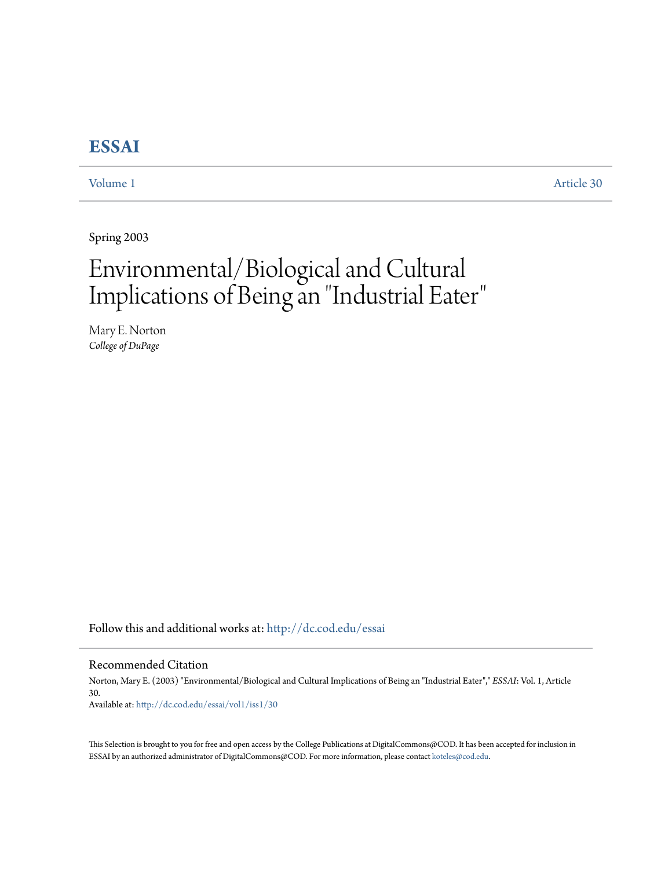# **[ESSAI](http://dc.cod.edu/essai?utm_source=dc.cod.edu%2Fessai%2Fvol1%2Fiss1%2F30&utm_medium=PDF&utm_campaign=PDFCoverPages)**

[Volume 1](http://dc.cod.edu/essai/vol1?utm_source=dc.cod.edu%2Fessai%2Fvol1%2Fiss1%2F30&utm_medium=PDF&utm_campaign=PDFCoverPages) [Article 30](http://dc.cod.edu/essai/vol1/iss1/30?utm_source=dc.cod.edu%2Fessai%2Fvol1%2Fiss1%2F30&utm_medium=PDF&utm_campaign=PDFCoverPages)

Spring 2003

# Environmental/Biological and Cultural Implications of Being an "Industrial Eater "

Mary E. Norton *College of DuPage*

Follow this and additional works at: [http://dc.cod.edu/essai](http://dc.cod.edu/essai?utm_source=dc.cod.edu%2Fessai%2Fvol1%2Fiss1%2F30&utm_medium=PDF&utm_campaign=PDFCoverPages)

## Recommended Citation

Norton, Mary E. (2003) "Environmental/Biological and Cultural Implications of Being an "Industrial Eater"," *ESSAI*: Vol. 1, Article 30. Available at: [http://dc.cod.edu/essai/vol1/iss1/30](http://dc.cod.edu/essai/vol1/iss1/30?utm_source=dc.cod.edu%2Fessai%2Fvol1%2Fiss1%2F30&utm_medium=PDF&utm_campaign=PDFCoverPages)

This Selection is brought to you for free and open access by the College Publications at DigitalCommons@COD. It has been accepted for inclusion in ESSAI by an authorized administrator of DigitalCommons@COD. For more information, please contact [koteles@cod.edu](mailto:koteles@cod.edu).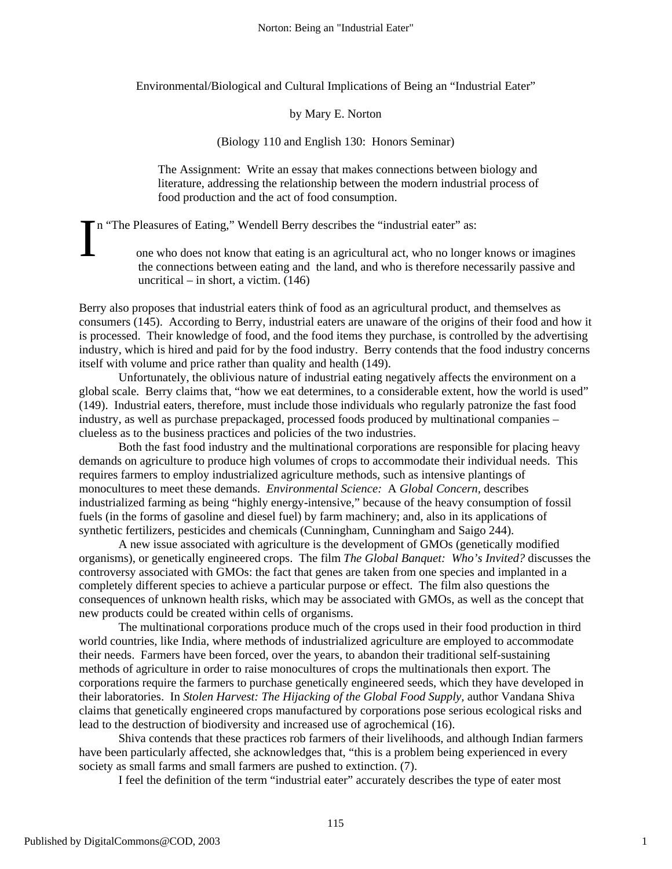Environmental/Biological and Cultural Implications of Being an "Industrial Eater"

### by Mary E. Norton

(Biology 110 and English 130: Honors Seminar)

The Assignment: Write an essay that makes connections between biology and literature, addressing the relationship between the modern industrial process of food production and the act of food consumption.

In "The Pleasures of Eating," Wendell Berry describes the "industrial eater" as:<br>
one who does not know that eating is an agricultural act, who no longer knows or imagines

the connections between eating and the land, and who is therefore necessarily passive and uncritical – in short, a victim. (146)

Berry also proposes that industrial eaters think of food as an agricultural product, and themselves as consumers (145). According to Berry, industrial eaters are unaware of the origins of their food and how it is processed. Their knowledge of food, and the food items they purchase, is controlled by the advertising industry, which is hired and paid for by the food industry. Berry contends that the food industry concerns itself with volume and price rather than quality and health (149).

Unfortunately, the oblivious nature of industrial eating negatively affects the environment on a global scale. Berry claims that, "how we eat determines, to a considerable extent, how the world is used" (149). Industrial eaters, therefore, must include those individuals who regularly patronize the fast food industry, as well as purchase prepackaged, processed foods produced by multinational companies – clueless as to the business practices and policies of the two industries.

Both the fast food industry and the multinational corporations are responsible for placing heavy demands on agriculture to produce high volumes of crops to accommodate their individual needs. This requires farmers to employ industrialized agriculture methods, such as intensive plantings of monocultures to meet these demands. *Environmental Science:* A *Global Concern,* describes industrialized farming as being "highly energy-intensive," because of the heavy consumption of fossil fuels (in the forms of gasoline and diesel fuel) by farm machinery; and, also in its applications of synthetic fertilizers, pesticides and chemicals (Cunningham, Cunningham and Saigo 244).

A new issue associated with agriculture is the development of GMOs (genetically modified organisms), or genetically engineered crops. The film *The Global Banquet: Who's Invited?* discusses the controversy associated with GMOs: the fact that genes are taken from one species and implanted in a completely different species to achieve a particular purpose or effect. The film also questions the consequences of unknown health risks, which may be associated with GMOs, as well as the concept that new products could be created within cells of organisms.

The multinational corporations produce much of the crops used in their food production in third world countries, like India, where methods of industrialized agriculture are employed to accommodate their needs. Farmers have been forced, over the years, to abandon their traditional self-sustaining methods of agriculture in order to raise monocultures of crops the multinationals then export. The corporations require the farmers to purchase genetically engineered seeds, which they have developed in their laboratories. In *Stolen Harvest: The Hijacking of the Global Food Supply,* author Vandana Shiva claims that genetically engineered crops manufactured by corporations pose serious ecological risks and lead to the destruction of biodiversity and increased use of agrochemical (16).

Shiva contends that these practices rob farmers of their livelihoods, and although Indian farmers have been particularly affected, she acknowledges that, "this is a problem being experienced in every society as small farms and small farmers are pushed to extinction. (7).

I feel the definition of the term "industrial eater" accurately describes the type of eater most

1